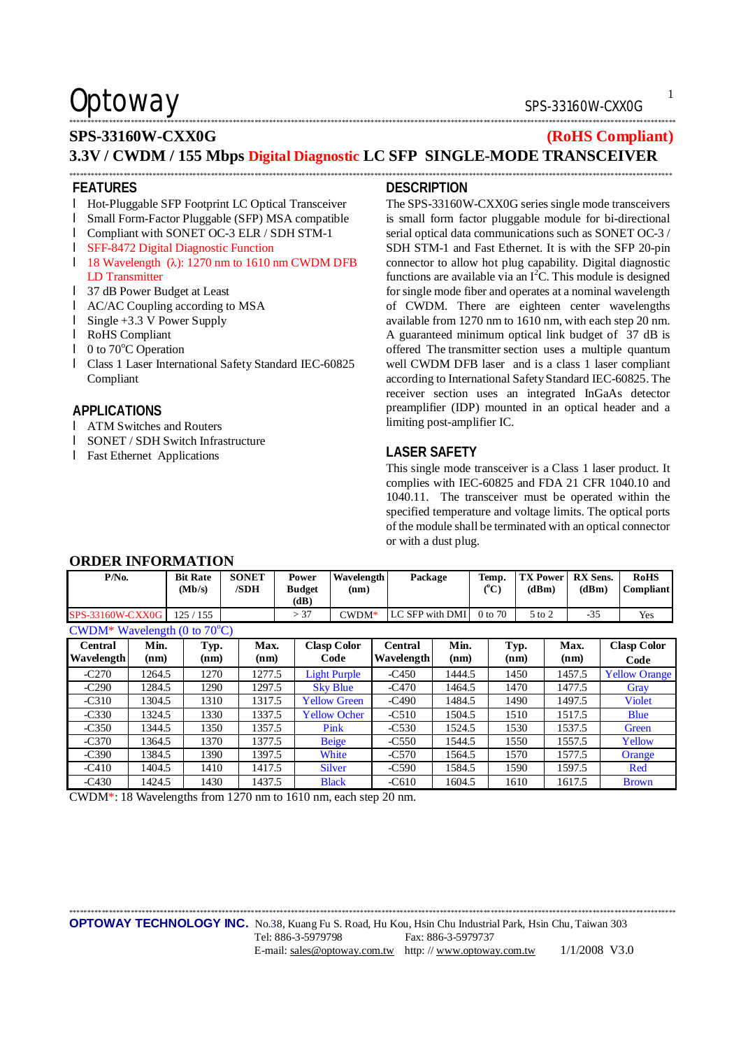# \*\*\*\*\*\*\*\*\*\*\*\*\*\*\*\*\*\*\*\*\*\*\*\*\*\*\*\*\*\*\*\*\*\*\*\*\*\*\*\*\*\*\*\*\*\*\*\*\*\*\*\*\*\*\*\*\*\*\*\*\*\*\*\*\*\*\*\*\*\*\*\*\*\*\*\*\*\*\*\*\*\*\*\*\*\*\*\*\*\*\*\*\*\*\*\*\*\*\*\*\*\*\*\*\*\*\*\*\*\*\*\*\*\*\*\*\*\*\*\*\*\*\*\*\*\*\*\*\*\*\*\*\*\*\*\*\*\*\*\*\*\*\*\*\*\*\*\*\*\*\*\*\*\*\*\*\*\*\*\*\*\*\*\*\*\*\*

# **SPS-33160W-CXX0G (RoHS Compliant) 3.3V / CWDM / 155 Mbps Digital Diagnostic LC SFP SINGLE-MODE TRANSCEIVER**

\*\*\*\*\*\*\*\*\*\*\*\*\*\*\*\*\*\*\*\*\*\*\*\*\*\*\*\*\*\*\*\*\*\*\*\*\*\*\*\*\*\*\*\*\*\*\*\*\*\*\*\*\*\*\*\*\*\*\*\*\*\*\*\*\*\*\*\*\*\*\*\*\*\*\*\*\*\*\*\*\*\*\*\*\*\*\*\*\*\*\*\*\*\*\*\*\*\*\*\*\*\*\*\*\*\*\*\*\*\*\*\*\*\*\*\*\*\*\*\*\*\*\*\*\*\*\*\*\*\*\*\*\*\*\*\*\*\*\*\*\*\*\*\*\*\*\*\*\*\*\*\*\*\*\*\*\*\*\*\*\*\*\*\*\*\*

### **FEATURES**

- l Hot-Pluggable SFP Footprint LC Optical Transceiver
- l Small Form-Factor Pluggable (SFP) MSA compatible
- l Compliant with SONET OC-3 ELR / SDH STM-1
- l SFF-8472 Digital Diagnostic Function
- l 18 Wavelength (λ): 1270 nm to 1610 nm CWDM DFB LD Transmitter
- l 37 dB Power Budget at Least
- l AC/AC Coupling according to MSA
- l Single +3.3 V Power Supply
- l RoHS Compliant
- $\blacksquare$  0 to 70 $\mathrm{°C}$  Operation
- l Class 1 Laser International Safety Standard IEC-60825 Compliant

## **APPLICATIONS**

- l ATM Switches and Routers
- l SONET / SDH Switch Infrastructure
- l Fast Ethernet Applications

### **DESCRIPTION**

The SPS-33160W-CXX0G series single mode transceivers is small form factor pluggable module for bi-directional serial optical data communications such as SONET OC-3 / SDH STM-1 and Fast Ethernet. It is with the SFP 20-pin connector to allow hot plug capability. Digital diagnostic functions are available via an I<sup>2</sup>C. This module is designed for single mode fiber and operates at a nominal wavelength of CWDM. There are eighteen center wavelengths available from 1270 nm to 1610 nm, with each step 20 nm. A guaranteed minimum optical link budget of 37 dB is offered The transmitter section uses a multiple quantum well CWDM DFB laser and is a class 1 laser compliant according to International Safety Standard IEC-60825. The receiver section uses an integrated InGaAs detector preamplifier (IDP) mounted in an optical header and a limiting post-amplifier IC.

## **LASER SAFETY**

This single mode transceiver is a Class 1 laser product. It complies with IEC-60825 and FDA 21 CFR 1040.10 and 1040.11. The transceiver must be operated within the specified temperature and voltage limits. The optical ports of the module shall be terminated with an optical connector or with a dust plug.

| $P/N0$ .                               |              | <b>Bit Rate</b><br>(Mb/s) | <b>SONET</b><br>/SDH | Power<br><b>Budget</b><br>(dB) | Wavelength<br>(nm)         | Package               |              | Temp.<br>(C) | <b>TX Power</b><br>(dBm) | <b>RX</b> Sens.<br>(dBm) | <b>RoHS</b><br>Compliant   |
|----------------------------------------|--------------|---------------------------|----------------------|--------------------------------|----------------------------|-----------------------|--------------|--------------|--------------------------|--------------------------|----------------------------|
| SPS-33160W-CXX0G                       |              | 125/155                   |                      | > 37                           | $CWDM*$                    | LC SFP with DMI       |              | 0 to 70      | 5 to 2                   | $-35$                    | Yes                        |
| CWDM* Wavelength (0 to $70^{\circ}$ C) |              |                           |                      |                                |                            |                       |              |              |                          |                          |                            |
| Central<br><b>Wavelength</b>           | Min.<br>(nm) | Typ.<br>(nm)              | Max.<br>(nm)         |                                | <b>Clasp Color</b><br>Code | Central<br>Wavelength | Min.<br>(nm) |              | Typ.<br>(nm)             | Max.<br>(nm)             | <b>Clasp Color</b><br>Code |
| $-C270$                                | 1264.5       | 1270                      | 1277.5               |                                | <b>Light Purple</b>        | $-C450$               | 1444.5       |              | 1450                     | 1457.5                   | <b>Yellow Orange</b>       |
| $-C290$                                | 1284.5       | 1290                      | 1297.5               |                                | <b>Sky Blue</b>            | $-C470$               | 1464.5       |              | 1470                     | 1477.5                   | Gray                       |
| $-C310$                                | 1304.5       | 1310                      | 1317.5               |                                | <b>Yellow Green</b>        | $-C490$               | 1484.5       |              | 1490                     | 1497.5                   | <b>Violet</b>              |
| $-C330$                                | 1324.5       | 1330                      | 1337.5               |                                | <b>Yellow Ocher</b>        | $-C510$               | 1504.5       |              | 1510                     | 1517.5                   | <b>Blue</b>                |
| $-C350$                                | 1344.5       | 1350                      | 1357.5               |                                | Pink                       | $-C530$               | 1524.5       |              | 1530                     | 1537.5                   | Green                      |
| $-C370$                                | 1364.5       | 1370                      | 1377.5               |                                | <b>Beige</b>               | $-C550$               | 1544.5       |              | 1550                     | 1557.5                   | Yellow                     |
| $-C390$                                | 1384.5       | 1390                      | 1397.5               |                                | White                      | $-C570$               | 1564.5       |              | 1570                     | 1577.5                   | Orange                     |
| $-C410$                                | 1404.5       | 1410                      | 1417.5               |                                | <b>Silver</b>              | $-C590$               | 1584.5       |              | 1590                     | 1597.5                   | Red                        |
| $-C430$                                | 1424.5       | 1430                      | 1437.5               |                                | <b>Black</b>               | $-C610$               | 1604.5       |              | 1610                     | 1617.5                   | <b>Brown</b>               |

**ORDER INFORMATION** 

CWDM\*: 18 Wavelengths from 1270 nm to 1610 nm, each step 20 nm.

\*\*\*\*\*\*\*\*\*\*\*\*\*\*\*\*\*\*\*\*\*\*\*\*\*\*\*\*\*\*\*\*\*\*\*\*\*\*\*\*\*\*\*\*\*\*\*\*\*\*\*\*\*\*\*\*\*\*\*\*\*\*\*\*\*\*\*\*\*\*\*\*\*\*\*\*\*\*\*\*\*\*\*\*\*\*\*\*\*\*\*\*\*\*\*\*\*\*\*\*\*\*\*\*\*\*\*\*\*\*\*\*\*\*\*\*\*\*\*\*\*\*\*\*\*\*\*\*\*\*\*\*\*\*\*\*\*\*\*\*\*\*\*\*\*\*\*\*\*\*\*\*\*\*\*\*\*\*\*\*\*\*\*\*\*\*\*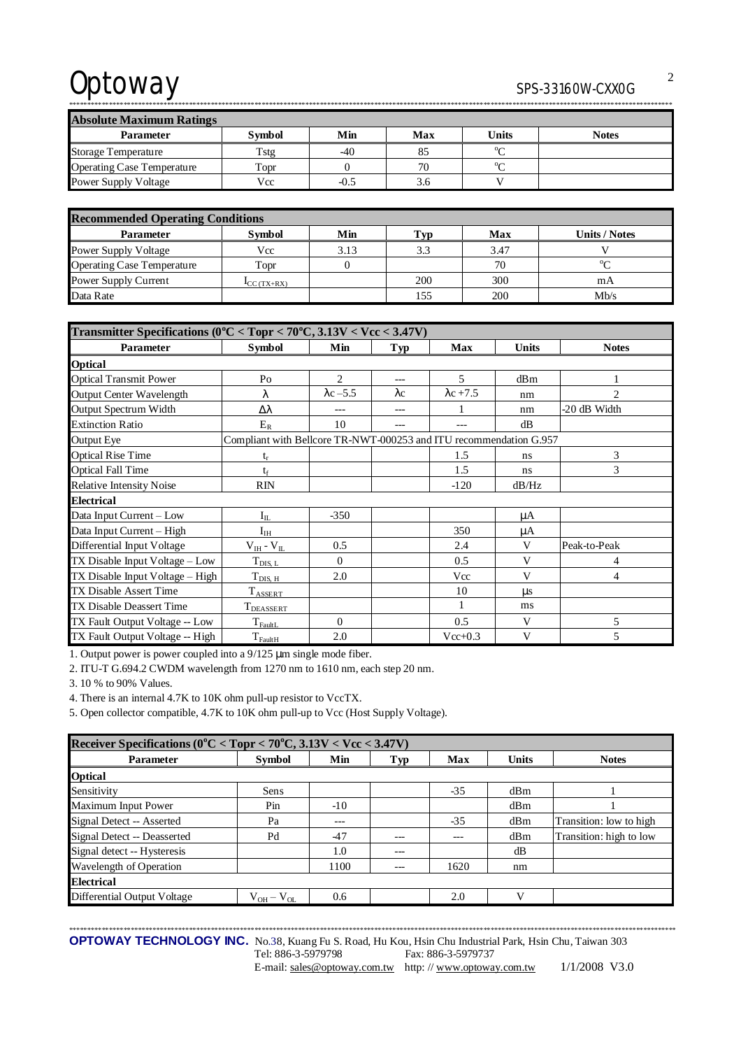| <b>Absolute Maximum Ratings</b>   |               |        |     |                |              |  |  |
|-----------------------------------|---------------|--------|-----|----------------|--------------|--|--|
| Parameter                         | <b>Symbol</b> | Min    | Max | Units          | <b>Notes</b> |  |  |
| <b>Storage Temperature</b>        | Tstg          | -40    | 85  | 0 <sub>0</sub> |              |  |  |
| <b>Operating Case Temperature</b> | Topr          |        | 70  | $0 \sim$       |              |  |  |
| Power Supply Voltage              | Vcc           | $-0.5$ | 3.6 |                |              |  |  |

\*\*\*\*\*\*\*\*\*\*\*\*\*\*\*\*\*\*\*\*\*\*\*\*\*\*\*\*\*\*\*\*\*\*\*\*\*\*\*\*\*\*\*\*\*\*\*\*\*\*\*\*\*\*\*\*\*\*\*\*\*\*\*\*\*\*\*\*\*\*\*\*\*\*\*\*\*\*\*\*\*\*\*\*\*\*\*\*\*\*\*\*\*\*\*\*\*\*\*\*\*\*\*\*\*\*\*\*\*\*\*\*\*\*\*\*\*\*\*\*\*\*\*\*\*\*\*\*\*\*\*\*\*\*\*\*\*\*\*\*\*\*\*\*\*\*\*\*\*\*\*\*\*\*\*\*\*\*\*\*\*\*\*\*\*\*

| <b>Recommended Operating Conditions</b> |                           |      |     |      |               |  |  |
|-----------------------------------------|---------------------------|------|-----|------|---------------|--|--|
| <b>Parameter</b>                        | <b>Symbol</b>             | Min  | Гyр | Max  | Units / Notes |  |  |
| <b>Power Supply Voltage</b>             | Vcc                       | 3.13 | 3.3 | 3.47 |               |  |  |
| <b>Operating Case Temperature</b>       | Topr                      |      |     | 70   | $\Omega$      |  |  |
| Power Supply Current                    | $\mathbf{I}_{CC}$ (TX+RX) |      | 200 | 300  | mA            |  |  |
| Data Rate                               |                           |      | 155 | 200  | Mb/s          |  |  |

| Transmitter Specifications ( $0^{\circ}$ C < Topr < 70 $^{\circ}$ C, 3.13V < Vcc < 3.47V) |                                                                    |                  |             |                  |              |                |  |
|-------------------------------------------------------------------------------------------|--------------------------------------------------------------------|------------------|-------------|------------------|--------------|----------------|--|
| Parameter                                                                                 | <b>Symbol</b>                                                      | Min              | Typ         | <b>Max</b>       | <b>Units</b> | <b>Notes</b>   |  |
| <b>Optical</b>                                                                            |                                                                    |                  |             |                  |              |                |  |
| <b>Optical Transmit Power</b>                                                             | Po                                                                 | $\overline{2}$   | $---$       | 5                | dBm          |                |  |
| <b>Output Center Wavelength</b>                                                           | λ                                                                  | $\lambda$ c –5.5 | $\lambda c$ | $\lambda$ c +7.5 | nm           | $\overline{2}$ |  |
| Output Spectrum Width                                                                     | Δλ                                                                 | $---$            | $---$       |                  | nm           | -20 dB Width   |  |
| <b>Extinction Ratio</b>                                                                   | $E_R$                                                              | 10               |             |                  | dB           |                |  |
| <b>Output Eye</b>                                                                         | Compliant with Bellcore TR-NWT-000253 and ITU recommendation G.957 |                  |             |                  |              |                |  |
| <b>Optical Rise Time</b>                                                                  | $t_r$                                                              |                  |             | 1.5              | ns           | 3              |  |
| <b>Optical Fall Time</b>                                                                  | $t_{\rm f}$                                                        |                  |             | 1.5              | ns           | 3              |  |
| <b>Relative Intensity Noise</b>                                                           | <b>RIN</b>                                                         |                  |             | $-120$           | dB/Hz        |                |  |
| <b>Electrical</b>                                                                         |                                                                    |                  |             |                  |              |                |  |
| Data Input Current - Low                                                                  | $I_{IL}$                                                           | $-350$           |             |                  | μA           |                |  |
| Data Input Current - High                                                                 | $I_{IH}$                                                           |                  |             | 350              | μA           |                |  |
| Differential Input Voltage                                                                | $V_{IH} - V_{IL}$                                                  | 0.5              |             | 2.4              | V            | Peak-to-Peak   |  |
| TX Disable Input Voltage – Low                                                            | $T_{\text{DIS, L}}$                                                | $\Omega$         |             | 0.5              | V            | 4              |  |
| TX Disable Input Voltage - High                                                           | $T_{\text{DIS, H}}$                                                | 2.0              |             | Vcc              | $\mathbf{V}$ | 4              |  |
| TX Disable Assert Time                                                                    | $T_{ASSERT}$                                                       |                  |             | 10               | $\mu$ s      |                |  |
| TX Disable Deassert Time                                                                  | T <sub>DEASSERT</sub>                                              |                  |             |                  | ms           |                |  |
| TX Fault Output Voltage -- Low                                                            | $T_{\rm{FaultL}}$                                                  | $\Omega$         |             | 0.5              | V            | 5              |  |
| TX Fault Output Voltage -- High                                                           | $T_{\text{FaultH}}$                                                | 2.0              |             | $Vcc+0.3$        | V            | 5              |  |

1. Output power is power coupled into a 9/125 μm single mode fiber.

2. ITU-T G.694.2 CWDM wavelength from 1270 nm to 1610 nm, each step 20 nm.

3. 10 % to 90% Values.

4. There is an internal 4.7K to 10K ohm pull-up resistor to VccTX.

5. Open collector compatible, 4.7K to 10K ohm pull-up to Vcc (Host Supply Voltage).

| Receiver Specifications ( $0^{\circ}$ C < Topr < 70 $^{\circ}$ C, 3.13V < Vcc < 3.47V) |                   |       |         |       |              |                         |  |
|----------------------------------------------------------------------------------------|-------------------|-------|---------|-------|--------------|-------------------------|--|
| <b>Parameter</b>                                                                       | Symbol            | Min   | Typ     | Max   | <b>Units</b> | <b>Notes</b>            |  |
| <b>Optical</b>                                                                         |                   |       |         |       |              |                         |  |
| Sensitivity                                                                            | Sens              |       |         | $-35$ | dBm          |                         |  |
| <b>Maximum Input Power</b>                                                             | Pin               | $-10$ |         |       | dBm          |                         |  |
| Signal Detect -- Asserted                                                              | Pa                | ---   |         | $-35$ | dBm          | Transition: low to high |  |
| Signal Detect -- Deasserted                                                            | Pd                | $-47$ |         | ---   | dBm          | Transition: high to low |  |
| Signal detect -- Hysteresis                                                            |                   | 1.0   | $---$   |       | dB           |                         |  |
| Wavelength of Operation                                                                |                   | 1100  | $- - -$ | 1620  | nm           |                         |  |
| <b>Electrical</b>                                                                      |                   |       |         |       |              |                         |  |
| <b>Differential Output Voltage</b>                                                     | $V_{OH} - V_{OL}$ | 0.6   |         | 2.0   | V)           |                         |  |

**OPTOWAY TECHNOLOGY INC.** No.38, Kuang Fu S. Road, Hu Kou, Hsin Chu Industrial Park, Hsin Chu, Taiwan 303 Tel: 886-3-5979798 Fax: 886-3-5979737

\*\*\*\*\*\*\*\*\*\*\*\*\*\*\*\*\*\*\*\*\*\*\*\*\*\*\*\*\*\*\*\*\*\*\*\*\*\*\*\*\*\*\*\*\*\*\*\*\*\*\*\*\*\*\*\*\*\*\*\*\*\*\*\*\*\*\*\*\*\*\*\*\*\*\*\*\*\*\*\*\*\*\*\*\*\*\*\*\*\*\*\*\*\*\*\*\*\*\*\*\*\*\*\*\*\*\*\*\*\*\*\*\*\*\*\*\*\*\*\*\*\*\*\*\*\*\*\*\*\*\*\*\*\*\*\*\*\*\*\*\*\*\*\*\*\*\*\*\*\*\*\*\*\*\*\*\*\*\*\*\*\*\*\*\*\*\*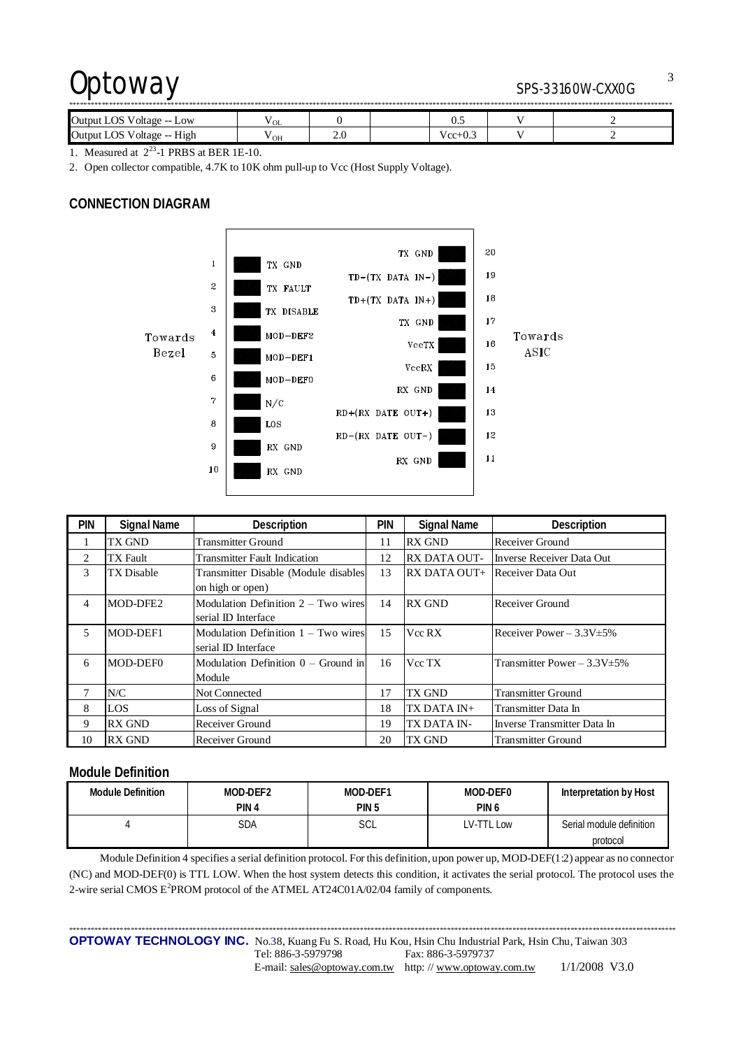| Output LOS<br>Voltage -- Low                  | " OL |                         |  | ັບມ   |  |  |  |
|-----------------------------------------------|------|-------------------------|--|-------|--|--|--|
| Output LOS<br>Voltage --<br>H <sub>1</sub> gh | ' OH | $\sim$<br>$\sim$ $\sim$ |  | ' cc· |  |  |  |

1. Measured at  $2^{23}$ -1 PRBS at BER 1E-10.

2. Open collector compatible, 4.7K to 10K ohm pull-up to Vcc (Host Supply Voltage).

## **CONNECTION DIAGRAM**



| <b>PIN</b> | <b>Signal Name</b> | Description                           | <b>PIN</b> | <b>Signal Name</b>  | <b>Description</b>                |
|------------|--------------------|---------------------------------------|------------|---------------------|-----------------------------------|
|            | <b>TX GND</b>      | <b>Transmitter Ground</b>             | 11         | <b>RX GND</b>       | Receiver Ground                   |
| 2          | <b>TX</b> Fault    | <b>Transmitter Fault Indication</b>   | 12         | <b>RX DATA OUT-</b> | Inverse Receiver Data Out         |
| 3          | <b>TX</b> Disable  | Transmitter Disable (Module disables  | 13         | $RX$ DATA OUT+      | Receiver Data Out                 |
|            |                    | on high or open)                      |            |                     |                                   |
| 4          | MOD-DFE2           | Modulation Definition $2 - Two wires$ | 14         | <b>RX GND</b>       | Receiver Ground                   |
|            |                    | serial ID Interface                   |            |                     |                                   |
| 5          | MOD-DEF1           | Modulation Definition 1 – Two wires   | 15         | Vcc RX              | Receiver Power $-3.3V \pm 5\%$    |
|            |                    | serial ID Interface                   |            |                     |                                   |
| 6          | MOD-DEF0           | Modulation Definition $0 -$ Ground in | 16         | Vcc TX              | Transmitter Power $-3.3V \pm 5\%$ |
|            |                    | Module                                |            |                     |                                   |
| 7          | N/C                | Not Connected                         | 17         | TX GND              | <b>Transmitter Ground</b>         |
| 8          | LOS                | Loss of Signal                        | 18         | TX DATA IN+         | Transmitter Data In               |
| 9          | <b>RX GND</b>      | Receiver Ground                       | 19         | TX DATA IN-         | Inverse Transmitter Data In       |
| 10         | <b>RX GND</b>      | Receiver Ground                       | 20         | TX GND              | <b>Transmitter Ground</b>         |

## **Module Definition**

| Module Definition | MOD-DEF2         | MOD-DEF1 | MOD-DEF0         | Interpretation by Host   |
|-------------------|------------------|----------|------------------|--------------------------|
|                   | PIN <sub>4</sub> | PIN 5    | PIN <sub>6</sub> |                          |
|                   | SDA              | SCL      | LV-TTL Low       | Serial module definition |
|                   |                  |          |                  | protocol                 |

Module Definition 4 specifies a serial definition protocol. For this definition, upon power up, MOD-DEF(1:2) appear as no connector (NC) and MOD-DEF(0) is TTL LOW. When the host system detects this condition, it activates the serial protocol. The protocol uses the 2-wire serial CMOS E<sup>2</sup>PROM protocol of the ATMEL AT24C01A/02/04 family of components.

\*\*\*\*\*\*\*\*\*\*\*\*\*\*\*\*\*\*\*\*\*\*\*\*\*\*\*\*\*\*\*\*\*\*\*\*\*\*\*\*\*\*\*\*\*\*\*\*\*\*\*\*\*\*\*\*\*\*\*\*\*\*\*\*\*\*\*\*\*\*\*\*\*\*\*\*\*\*\*\*\*\*\*\*\*\*\*\*\*\*\*\*\*\*\*\*\*\*\*\*\*\*\*\*\*\*\*\*\*\*\*\*\*\*\*\*\*\*\*\*\*\*\*\*\*\*\*\*\*\*\*\*\*\*\*\*\*\*\*\*\*\*\*\*\*\*\*\*\*\*\*\*\*\*\*\*\*\*\*\*\*\*\*\*\*\*\*

**OPTOWAY TECHNOLOGY INC.** No.38, Kuang Fu S. Road, Hu Kou, Hsin Chu Industrial Park, Hsin Chu, Taiwan 303 Tel: 886-3-5979798 Fax: 886-3-5979737 E-mail: [sales@optoway.com.tw](mailto:sales@optoway.com.tw) http: // [www.optoway.com.tw](http://www.optoway.com.tw) 1/1/2008 V3.0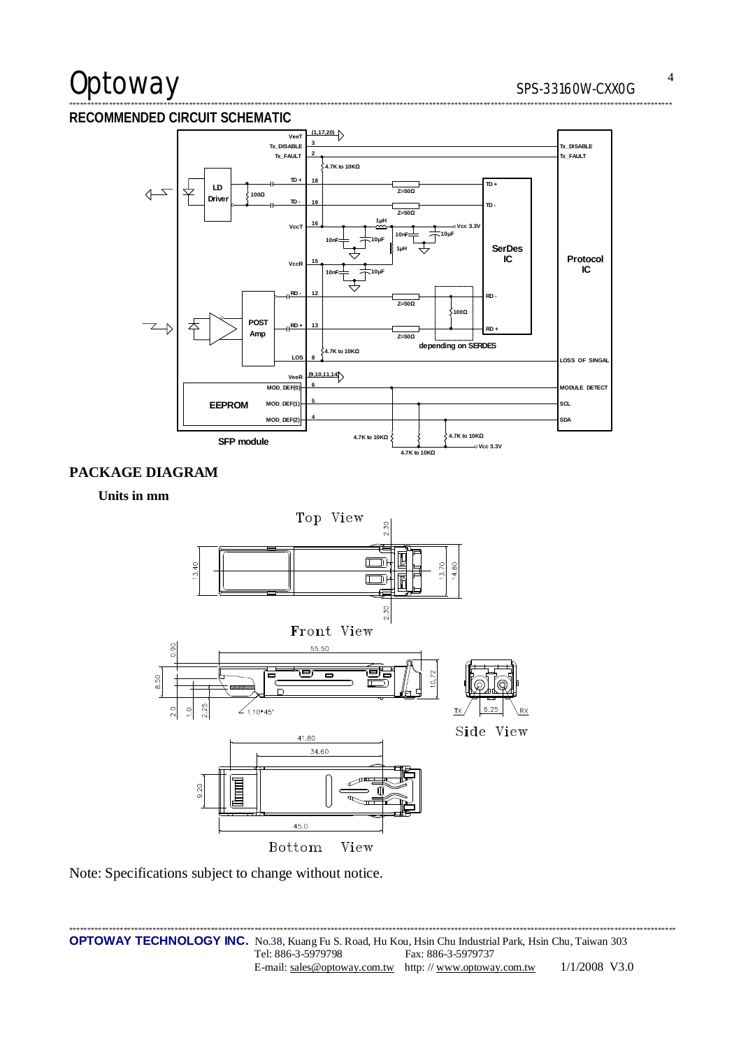# Optoway

## RECOMMENDED CIRCUIT SCHEMATIC



# PACKAGE DIAGRAM

## Units in mm



Note: Specifications subject to change without notice.

.<br>Este de deste de al